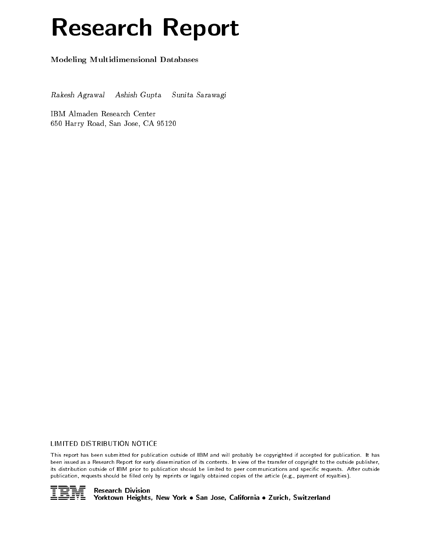# Research Report

Modeling Multidimensional Databases

Rakesh Agrawal Ashish Gupta Sunita Sarawagi

IBM Almaden Research Center 650 Harry Road, San Jose, CA 95120

## LIMITED DISTRIBUTION NOTICE

This report has been submitted for publication outside of IBM and will probably be copyrighted if accepted for publication. It has been issued as a Research Report for early dissemination of its contents. In view of the transfer of copyright to the outside publisher, its distribution outside of IBM prior to publication should be limited to peer communications and specific requests. After outside publication, requests should be filled only by reprints or legally obtained copies of the article (e.g., payment of royalties).

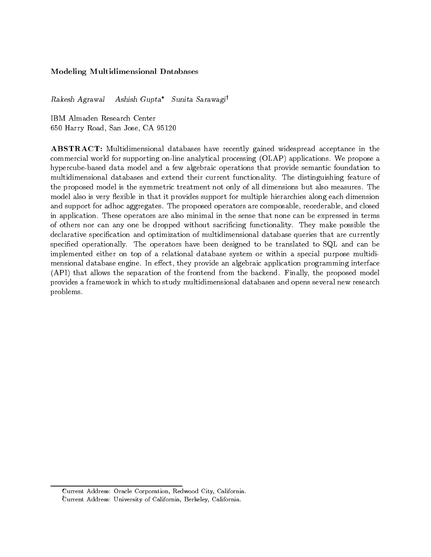# Modeling Multidimensional Databases

Rakesh Agrawal Ashish Gupta\* Sunita Sarawagi<sup>†</sup>

IBM Almaden Research Center 650 Harry Road, San Jose, CA 95120

ABSTRACT: Multidimensional databases have recently gained widespread acceptance in the commercial world for supporting on-line analytical processing (OLAP) applications. We propose a hypercube-based data model and a few algebraic operations that provide semantic foundation to multidimensional databases and extend their current functionality. The distinguishing feature of the proposed model is the symmetric treatment not only of all dimensions but also measures. The model also is very flexible in that it provides support for multiple hierarchies along each dimension and support for adhoc aggregates. The proposed operators are composable, reorderable, and closed in application. These operators are also minimal in the sense that none can be expressed in terms of others nor can any one be dropped without sacricing functionality. They make possible the declarative specification and optimization of multidimensional database queries that are currently specied operationally. The operators have been designed to be translated to SQL and can be implemented either on top of a relational database system or within a special purpose multidimensional database engine. In effect, they provide an algebraic application programming interface (API) that allows the separation of the frontend from the backend. Finally, the proposed model provides a framework in which to study multidimensional databases and opens several new research problems.

Current Address: Oracle Corporation, Redwood City, California. Current Address: University of California, Berkeley, California.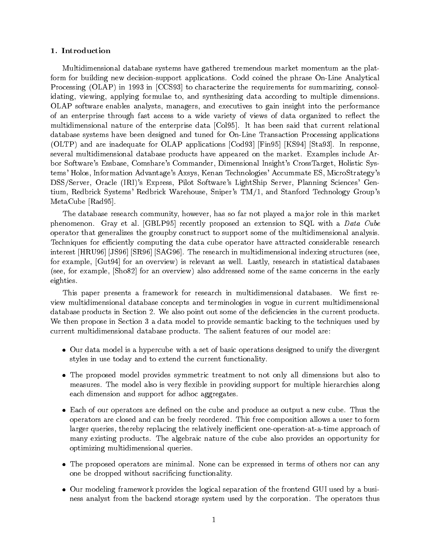## 1. Introduction

Multidimensional database systems have gathered tremendous market momentum as the platform for building new decision-support applications. Codd coined the phrase On-Line Analytical Processing (OLAP) in 1993 in [CCS93] to characterize the requirements for summarizing, consolidating, viewing, applying formulae to, and synthesizing data according to multiple dimensions. OLAP software enables analysts, managers, and executives to gain insight into the performance of an enterprise through fast access to a wide variety of views of data organized to reflect the multidimensional nature of the enterprise data [Col95]. It has been said that current relational database systems have been designed and tuned for On-Line Transaction Processing applications (OLTP) and are inadequate for OLAP applications [Cod93] [Fin95] [KS94] [Sta93]. In response, several multidimensional database products have appeared on the market. Examples include Arbor Software's Essbase, Comshare's Commander, Dimensional Insight's CrossTarget, Holistic Systems' Holos, Information Advantage's Axsys, Kenan Technologies' Accummate ES, MicroStrategy's DSS/Server, Oracle (IRI)'s Express, Pilot Software's LightShip Server, Planning Sciences' Gentium, Redbrick Systems' Redbrick Warehouse, Sniper's TM/1, and Stanford Technology Group's MetaCube [Rad95].

The database research community, however, has so far not played a ma jor role in this market phenomenon. Gray et al. [GBLP95] recently proposed an extension to SQL with a Data Cube operator that generalizes the groupby construct to support some of the multidimensional analysis. Techniques for efficiently computing the data cube operator have attracted considerable research interest [HRU96] [JS96] [SR96] [SAG96]. The research in multidimensional indexing structures (see, for example, [Gut94] for an overview) is relevant as well. Lastly, research in statistical databases (see, for example, [Sho82] for an overview) also addressed some of the same concerns in the early eighties.

This paper presents a framework for research in multidimensional databases. We first review multidimensional database concepts and terminologies in vogue in current multidimensional database products in Section 2. We also point out some of the deficiencies in the current products. We then propose in Section 3 a data model to provide semantic backing to the techniques used by current multidimensional database products. The salient features of our model are:

- $\bullet$  Our data model is a hypercube with a set of basic operations designed to unify the divergent  $\phantom{a}$ styles in use today and to extend the current functionality.
- $\bullet$  The proposed model provides symmetric treatment to not only all dimensions but also to  $\hspace{0.1mm}$ measures. The model also is very flexible in providing support for multiple hierarchies along each dimension and support for adhoc aggregates.
- $\bullet$  -Each of our operators are defined on the cube and produce as output a new cube. Thus the operators are closed and can be freely reordered. This free composition allows a user to form larger queries, thereby replacing the relatively inefficient one-operation-at-a-time approach of many existing products. The algebraic nature of the cube also provides an opportunity for optimizing multidimensional queries.
- $\bullet$  The proposed operators are minimal. None can be expressed in terms of others nor can any one be dropped without sacricing functionality.
- $\bullet$  Our modeling framework provides the logical separation of the frontend GUI used by a business analyst from the backend storage system used by the corporation. The operators thus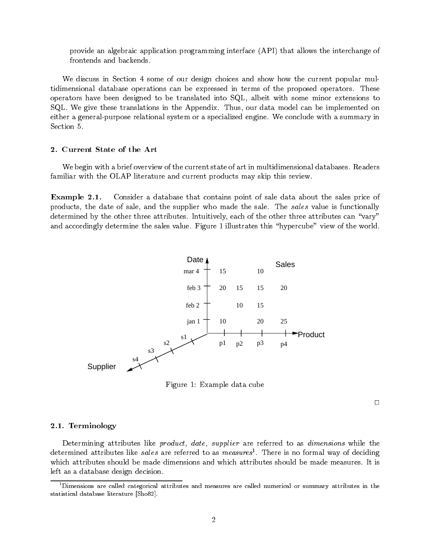provide an algebraic application programming interface (API) that allows the interchange of frontends and backends.

We discuss in Section 4 some of our design choices and show how the current popular multidimensional database operations can be expressed in terms of the proposed operators. These operators have been designed to be translated into SQL, albeit with some minor extensions to SQL. We give these translations in the Appendix. Thus, our data model can be implemented on either a general-purpose relational system or a specialized engine. We conclude with a summary in

## 2. Current State of the Art

We begin with a brief overview of the current state of art in multidimensional databases. Readers familiar with the OLAP literature and current products may skip this review.

Example 2.1. Consider a database that contains point of sale data about the sales price of products, the date of sale, and the supplier who made the sale. The sales value is functionally determined by the other three attributes. Intuitively, each of the other three attributes can "vary" and accordingly determine the sales value. Figure 1 illustrates this "hypercube" view of the world.



Figure 1: Example data cube

 $\Box$ 

## 2.1. Terminology

Determining attributes like *product*, *date*, *supplier* are referred to as *dimensions* while the determined attributes like *sales* are referred to as  $measures$  . There is no formal way of deciding which attributes should be made dimensions and which attributes should be made measures. It is left as a database design decision.

 $^{\rm 1}$ Dimensions are called categorical attributes and measures are called numerical or summary attributes in the statistical database literature [Sho82].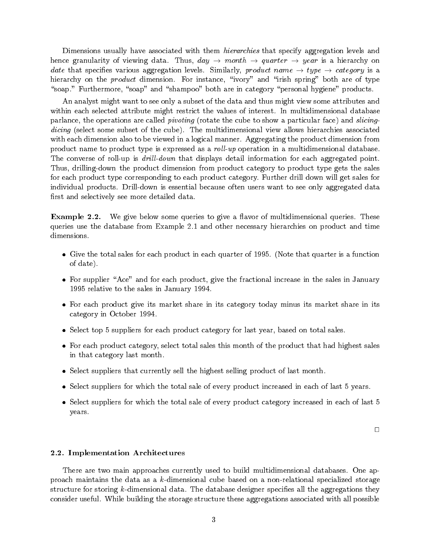Dimensions usually have associated with them *hierarchies* that specify aggregation levels and hence granularity of viewing data. Thus,  $day \rightarrow month \rightarrow quarter \rightarrow year$  is a hierarchy on date that specifies various aggregation levels. Similarly, product name  $\rightarrow$  type  $\rightarrow$  category is a hierarchy on the *product* dimension. For instance, "ivory" and "irish spring" both are of type "soap." Furthermore, "soap" and "shampoo" both are in category "personal hygiene" products.

An analyst might want to see only a subset of the data and thus might view some attributes and within each selected attribute might restrict the values of interest. In multidimensional database parlance, the operations are called pivoting (rotate the cube to show a particular face) and slicingdicing (select some subset of the cube). The multidimensional view allows hierarchies associated with each dimension also to be viewed in a logical manner. Aggregating the product dimension from product name to product type is expressed as a *roll-up* operation in a multidimensional database. The converse of roll-up is *drill-down* that displays detail information for each aggregated point. Thus, drilling-down the product dimension from product category to product type gets the sales for each product type corresponding to each product category. Further drill down will get sales for individual products. Drill-down is essential because often users want to see only aggregated data first and selectively see more detailed data.

**Example 2.2.** We give below some queries to give a flavor of multidimensional queries. These queries use the database from Example 2.1 and other necessary hierarchies on product and time

- $\bullet$  Give the total sales for each product in each quarter of 1995. (Note that quarter is a function  $\bullet$ of date).
- $\bullet$  -ror supplier "Ace" and for each product, give the fractional increase in the sales in January 1995 relative to the sales in January 1994.
- $\bullet$  -ror each product give its market share in its category today minus its market share in its  $\bullet$ category in October 1994.
- $\bullet$  Select top 5 suppliers for each product category for last year, based on total sales.
- $\bullet$  -ror each product category, select total sales this month of the product that had highest sales in that category last month.
- $\bullet$  Select suppliers that currently sell the highest selling product of last month.
- $\bullet$  Select suppliers for which the total sale of every product increased in each of last 5 years.
- $\bullet$  Select suppliers for which the total sale of every product category increased in each of last 5  $$ years.

 $\Box$ 

## 2.2. Implementation Architectures

There are two main approaches currently used to build multidimensional databases. One approach maintains the data as a k-dimensional cube based on a non-relational specialized storage structure for storing k-dimensional data. The database designer specifies all the aggregations they consider useful. While building the storage structure these aggregations associated with all possible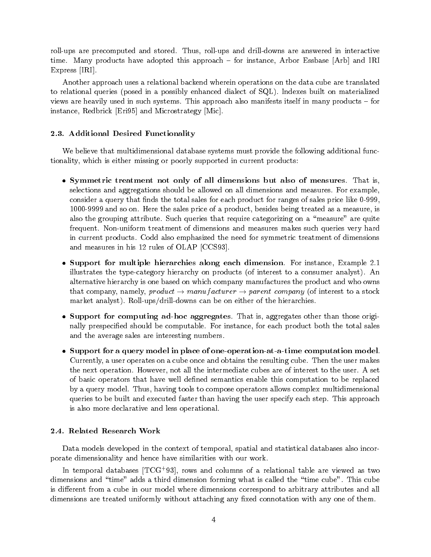roll-ups are precomputed and stored. Thus, roll-ups and drill-downs are answered in interactive time. Many products have adopted this approach  $-$  for instance, Arbor Essbase [Arb] and IRI Express [IRI].

Another approach uses a relational backend wherein operations on the data cube are translated to relational queries (posed in a possibly enhanced dialect of SQL). Indexes built on materialized views are heavily used in such systems. This approach also manifests itself in many products  $-$  for instance, Redbrick [Eri95] and Microstrategy [Mic].

## 2.3. Additional Desired Functionality

We believe that multidimensional database systems must provide the following additional functionality, which is either missing or poorly supported in current products:

- $\bullet$  Symmetric treatment not only of all dimensions but also of measures. That is, selections and aggregations should be allowed on all dimensions and measures. For example, consider a query that finds the total sales for each product for ranges of sales price like 0-999, 1000-9999 and so on. Here the sales price of a product, besides being treated as a measure, is also the grouping attribute. Such queries that require categorizing on a "measure" are quite frequent. Non-uniform treatment of dimensions and measures makes such queries very hard in current products. Codd also emphasized the need for symmetric treatment of dimensions and measures in his 12 rules of OLAP [CCS93].
- $\bullet$  Support for multiple hierarchies along each dimension. For instance, Example 2.1  $\hspace{0.1mm}$ illustrates the type-category hierarchy on products (of interest to a consumer analyst). An alternative hierarchy is one based on which company manufactures the product and who owns that company, namely, product  $\rightarrow$  manufacturer  $\rightarrow$  parent company (of interest to a stock market analyst). Roll-ups/drill-downs can be on either of the hierarchies.
- $\bullet$  Support for computing ad-hoc aggregates. That is, aggregates other than those originally prespecied should be computable. For instance, for each product both the total sales and the average sales are interesting numbers.
- $\bullet\,$  Support for a query model in place of one-operation-at-a-time computation model.  $\,$ Currently, a user operates on a cube once and obtains the resulting cube. Then the user makes the next operation. However, not all the intermediate cubes are of interest to the user. A set of basic operators that have well defined semantics enable this computation to be replaced by a query model. Thus, having tools to compose operators allows complex multidimensional queries to be built and executed faster than having the user specify each step. This approach is also more declarative and less operational.

## 2.4. Related Research Work

Data models developed in the context of temporal, spatial and statistical databases also incorporate dimensionality and hence have similarities with our work.

In temporal databases  $[{\rm TCG+93}]$ , rows and columns of a relational table are viewed as two  $$ dimensions and \time" adds a third dimension forming what is called the \time cube". This cube is different from a cube in our model where dimensions correspond to arbitrary attributes and all dimensions are treated uniformly without attaching any fixed connotation with any one of them.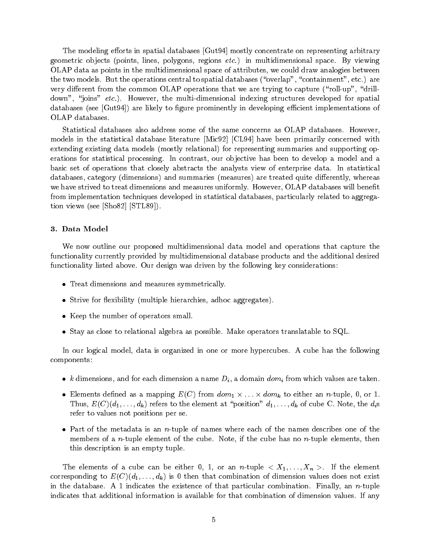The modeling efforts in spatial databases [Gut94] mostly concentrate on representing arbitrary geometric objects (points, lines, polygons, regions  $etc.$ ) in multidimensional space. By viewing OLAP data as points in the multidimensional space of attributes, we could draw analogies between the two models. But the operations central to spatial databases ("overlap", "containment", etc.) are very different from the common OLAP operations that we are trying to capture ("roll-up", "drilldown", "joins" etc.). However, the multi-dimensional indexing structures developed for spatial databases (see [Gut94]) are likely to figure prominently in developing efficient implementations of OLAP databases.

Statistical databases also address some of the same concerns as OLAP databases. However, models in the statistical database literature [Mic92] [CL94] have been primarily concerned with extending existing data models (mostly relational) for representing summaries and supporting operations for statistical processing. In contrast, our objective has been to develop a model and a basic set of operations that closely abstracts the analysts view of enterprise data. In statistical databases, category (dimensions) and summaries (measures) are treated quite differently, whereas we have strived to treat dimensions and measures uniformly. However, OLAP databases will benefit from implementation techniques developed in statistical databases, particularly related to aggregation views (see [Sho82] [STL89]).

#### 3. Data Model

We now outline our proposed multidimensional data model and operations that capture the functionality currently provided by multidimensional database products and the additional desired functionality listed above. Our design was driven by the following key considerations:

- $\bullet$  -freat dimensions and measures symmetrically.
- $\bullet$  Strive for flexibility (multiple hierarchies, adhoc aggregates).
- $\bullet\,$  Keep the number of operators small.  $\,$
- $\bullet$  Stay as close to relational algebra as possible. Make operators translatable to SQL.

In our logical model, data is organized in one or more hypercubes. A cube has the following components:

- $\bullet$   $\kappa$  dimensions, and for each dimension a name  $D_i$ , a domain  $\mathit{dom}_i$  from which values are taken.
- $\bullet$  Elements defined as a mapping  $E(C)$  from  $\mathit{dom}_1 \times \ldots \times \mathit{dom}_k$  to either an  $n\text{-tuple}, \, 0, \, \text{or} \, 1.$ Thus,  $E(C)(d_1, \ldots, d_k)$  refers to the element at "position"  $d_1, \ldots, d_k$  of cube C. Note, the  $d_i$ s refer to values not positions per se.
- $\bullet$  Part of the metadata is an  $n\hbox{-tuple}$  of names where each of the names describes one of the members of a *n*-tuple element of the cube. Note, if the cube has no *n*-tuple elements, then this description is an empty tuple.

The elements of a cube can be either 0, 1, or an  $n\text{-tuple} < X_1,\ldots,X_n>$  If the element corresponding to  $E(C)(d_1, \ldots, d_k)$  is 0 then that combination of dimension values does not exist in the database. A 1 indicates the existence of that particular combination. Finally, an n-tuple indicates that additional information is available for that combination of dimension values. If any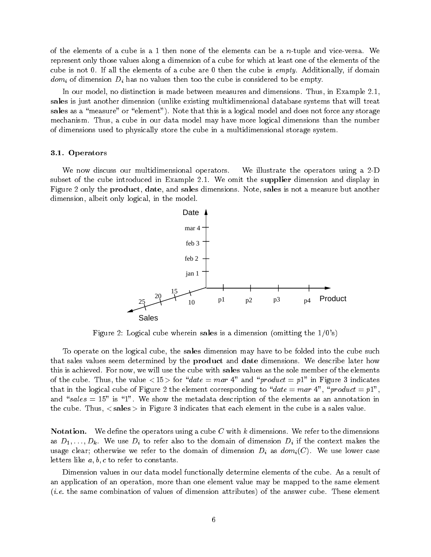of the elements of a cube is a 1 then none of the elements can be a  $n$ -tuple and vice-versa. We represent only those values along a dimension of a cube for which at least one of the elements of the cube is not 0. If all the elements of a cube are 0 then the cube is *empty*. Additionally, if domain domini of dimension Di has no values the cube is considered to be experienced to be empty.

In our model, no distinction is made between measures and dimensions. Thus, in Example 2.1, sales is just another dimension (unlike existing multidimensional database systems that will treat sales as a "measure" or "element"). Note that this is a logical model and does not force any storage mechanism. Thus, a cube in our data model may have more logical dimensions than the number of dimensions used to physically store the cube in a multidimensional storage system.

#### 3.1. Operators

We now discuss our multidimensional operators. We illustrate the operators using a 2-D subset of the cube introduced in Example 2.1. We omit the supplier dimension and display in Figure 2 only the product, date, and sales dimensions. Note, sales is not a measure but another dimension, albeit only logical, in the model.



Figure 2: Logical cube wherein sales is a dimension (omitting the  $1/0's$ )

To operate on the logical cube, the sales dimension may have to be folded into the cube such that sales values seem determined by the product and date dimensions. We describe later how this is achieved. For now, we will use the cube with sales values as the sole member of the elements of the cube. Thus, the value  $\langle 15 \rangle$  for "date = mar 4" and "product = p1" in Figure 3 indicates that in the logical cube of Figure 2 the element corresponding to "date = mar 4", "product = p1", and "sales  $= 15$ " is "1". We show the metadata description of the elements as an annotation in the cube. Thus,  $\langle$  sales  $\rangle$  in Figure 3 indicates that each element in the cube is a sales value.

**Notation.** We define the operators using a cube C with k dimensions. We refer to the dimensions as  $D_1, \ldots, D_k$ . We use  $D_i$  to refer also to the domain of dimension  $D_i$  if the context makes the usage clear; otherwise we refer to the dimension of dimensional Di  $\ell$  as domi(C). We use lower case  $\ell$ letters like  $a, b, c$  to refer to constants.

Dimension values in our data model functionally determine elements of the cube. As a result of an application of an operation, more than one element value may be mapped to the same element  $(i.e.$  the same combination of values of dimension attributes) of the answer cube. These element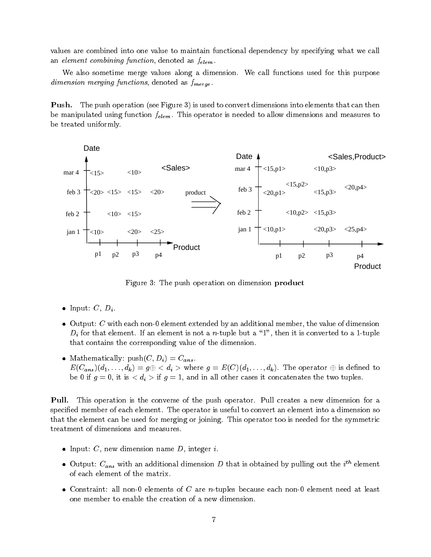values are combined into one value to maintain functional dependency by specifying what we call an element combining function, denoted as  $f_{elem}$ .

We also sometime merge values along a dimension. We call functions used for this purpose dimension merging functions, denoted as follows, denoted as follows, denoted as  $d$ 

Push. The push operation (see Figure 3) is used to convert dimensions into elements that can then be manipulated using function  $f_{elem}$ . This operator is needed to allow dimensions and measures to be treated uniformly.



Figure 3: The push operation on dimension product

- Input:  $C, D_i$ .
- $\bullet$  -Output:  $C$  with each non-0 element extended by an additional member, the value of dimension  $\mathbf{I}$  and the not a n-tuple but a n-tuple but a n-tuple but a n-tuple but a  $\mathbf{I}$ that contains the corresponding value of the dimension.
- $\bullet$  -Mathematically: push( $C,D_i)=C_{ans}$  .  $E(C_{ans})(d_1,\ldots,d_k) = g \oplus \langle d_i \rangle$  where  $g = E(C)(d_1,\ldots,d_k)$ . The operator  $\oplus$  is defined to be different particles in a if  $g$  is the two tuples in all other cases in all other cases in a set  $\alpha$

Pull. This operation is the converse of the push operator. Pull creates a new dimension for a specied member of each element. The operator is useful to convert an element into a dimension so that the element can be used for merging or joining. This operator too is needed for the symmetric treatment of dimensions and measures.

- $\bullet$  Input:  $C$ , new dimension name  $D$ , integer  $i$ .
- $\bullet$  Output:  $C_{ans}$  with an additional dimension  $D$  that is obtained by pulling out the  $i^{**}$  element  $\hspace{0.1 cm}$ of each element of the matrix.
- $\bullet$  Constraint: all non-0 elements of  $C$  are  $n$ -tuples because each non-0 element need at least  $\hspace{0.1mm}$ one member to enable the creation of a new dimension.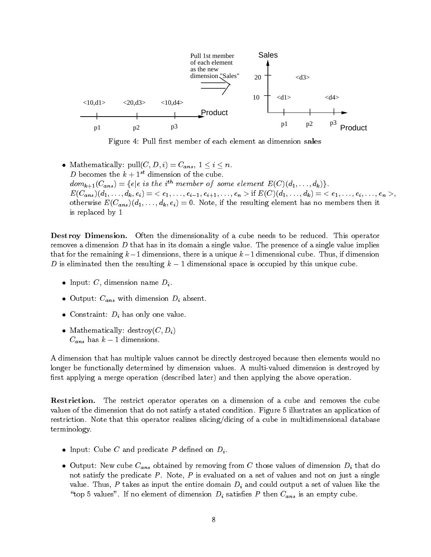

Figure 4: Pull first member of each element as dimension sales

 $\bullet \hspace{0.12cm} \text{Mathematically: pull}(C, D, i) = C_{ans}, \hspace{0.12cm} 1 \leq i \leq n.$ D becomes the  $k + 1^{st}$  dimension of the cube.  $dom_{k+1}(C_{ans}) = \{e | e \text{ is the } i^{th} \text{ member of some element } E(C)(d_1, \ldots, d_k)\}.$  $E(C_{ans})(d_1, \ldots, d_k, e_i) = \langle e_1, \ldots, e_{i-1}, e_{i+1}, \ldots, e_n \rangle \text{ if } E(C)(d_1, \ldots, d_k) = \langle e_1, \ldots, e_i, \ldots, e_n \rangle,$ otherwise  $E(C_{ans})(d_1, \ldots, d_k, e_i) = 0$ . Note, if the resulting element has no members then it is replaced by 1

Destroy Dimension. Often the dimensionality of a cube needs to be reduced. This operator removes a dimension  $D$  that has in its domain a single value. The presence of a single value implies that for the remaining  $k-1$  dimensions, there is a unique  $k-1$  dimensional cube. Thus, if dimension D is eliminated then the resulting  $k-1$  dimensional space is occupied by this unique cube.

- $\bullet$  Input:  $C,$  dimension name  $D_i.$
- $\bullet$  Output:  $C_{ans}$  with dimension  $D_i$  absent.
- $\bullet\,$  Constraint:  $D_i$  has only one value.  $\,$
- $\bullet$  Mathematically: destroy( $C, D_i$ )  $C_{ans}$  has  $\kappa = 1$  dimensions.

A dimension that has multiple values cannot be directly destroyed because then elements would no longer be functionally determined by dimension values. A multi-valued dimension is destroyed by first applying a merge operation (described later) and then applying the above operation.

Restriction. The restrict operator operates on a dimension of a cube and removes the cube values of the dimension that do not satisfy a stated condition. Figure 5 illustrates an application of restriction. Note that this operator realizes slicing/dicing of a cube in multidimensional database terminology.

- $\bullet$  Input: Cube C and predicate  $P$  defined on  $D_i.$
- $\bullet$  Output: New cube  $C_{ans}$  obtained by removing from  $C$  those values of dimension  $D_i$  that do not satisfy the predicate  $P$ . Note,  $P$  is evaluated on a set of values and not on just a single  $\mathcal P$  takes as input the entire domain Di and could output a set of values like the entire the entire the entire the entire the entire the entire the entire the entire the entire the entire the entire the entire the enti  $\tau$  is the first of the satisfactor of dimension Di satisfactor Discussion Districts  $\tau$  and  $\tau$  and  $\tau$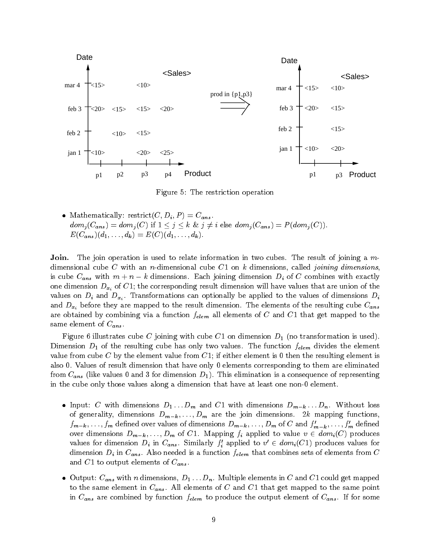

Figure 5: The restriction operation

 $\bullet$  Mathematically: restrict( $C, D_i, P$ )  $=$   $C_{ans}$ .  $dom_j(C_{ans}) = dom_j(C)$  if  $1 \leq j \leq k$  &  $j \neq i$  else  $dom_j(C_{ans}) = P(dom_j(C)).$  $E(C_{ans})(d_1, \ldots, d_k) = E(C)(d_1, \ldots, d_k).$ 

**Join.** The join operation is used to relate information in two cubes. The result of joining a mdimensional cube C with an n-dimensional cube C1 on k dimensions, called *joining dimensions*, is cube  $C_{ans}$  with  $m+n-k$  dimensions. Each joining dimension  $D_i$  of C combines with exactly one dimension  $D_{x_i}$  of C1; the corresponding result dimension will have values that are union of the values on Dividend Damis can options can options can options of dimensions  $\iota$ and  $D_{x_i}$  before they are mapped to the result dimension. The elements of the resulting cube  $C_{ans}$ are obtained by combining via a function felem all elements of C and C and C in the G and C same element of Canso .

Figure 6 illustrates cube C joining with cube C1 on dimension  $D_1$  (no transformation is used). Dimension  $D_1$  of the resulting cube has only two values. The function  $f_{elem}$  divides the element value from cube C by the element value from  $C1$ ; if either element is 0 then the resulting element is also 0. Values of result dimension that have only 0 elements corresponding to them are eliminated from Cans (like  $\sim$  1). This elimination D1). This elimination is a consequence of representing  $\sim$ in the cube only those values along a dimension that have at least one non-0 element.

- $\bullet$  Input:  $C$  with dimensions  $D_1 \ldots D_m$  and  $C1$  with dimensions  $D_{m-k} \ldots D_n$ . Without loss of generality, dimensions  $D_{m-k}$ , ...,  $D_m$  are the join dimensions. 2k mapping functions,  $f_{m-k},\ldots,f_m$  defined over values of dimensions  $D_{m-k},\ldots,D_m$  of  $C$  and  $f_{m-k},\ldots,f_m$  defined over dimensions  $D_{m-k}, \ldots, D_m$  of C1. Mapping  $f_i$  applied to value  $v \in dom_i(C)$  produces values for dimension  $D_i$  in  $C_{ans}$ . Similarly  $f_i'$  applied to  $v' \in \mathit{dom}_i(C1)$  produces values for dimension  $\alpha$  in Cans . Also need that come is a function felem that computers from  $\alpha$  computers from  $\alpha$ and C1 to output elements of  $\mathcal{L}_{1}$  to output elements of  $\mathcal{L}_{2}$
- $\bullet$  -Output:  $C_{ans}$  with  $n$  dimensions,  $D_1 \ldots D_n.$  Multiple elements in  $C$  and  $C1$  could get mapped to the same element in Canada . All elements of C1 that get mapped to the same point  $\alpha$  and  $\alpha$ in Cans are computed by function felement of produce the output element of Cans . If for some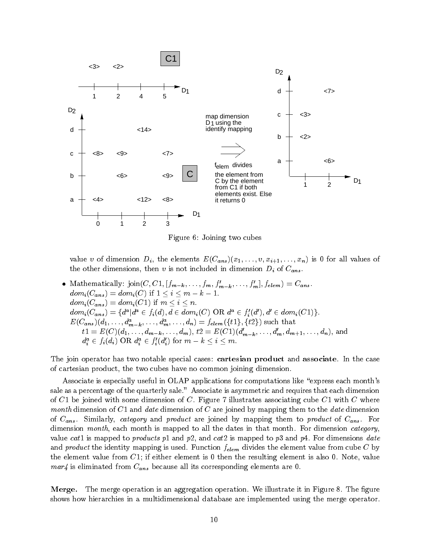

Figure 6: Joining two cubes

value v of dimension  $D_i$ , the elements  $E(C_{ans})(x_1,\ldots,v,x_{i+1},\ldots,x_n)$  is 0 for all values of the other dimensions  $\alpha$  is not included in dimensions. The dimension  $\alpha$  is  $\alpha$   $\alpha$ 

• Mathematically:  $\text{join}(C, C1, \lfloor Jm-k, \ldots, Jm, J_{m-k}, \ldots, J_m \rfloor, \text{Jelem}) = C_{ans}.$  $dom_i(C_{ans}) = dom_i(C)$  if  $1 \leq i \leq m - k - 1$ .  $dom_i(C_{ans}) = dom_i(C1)$  if  $m \leq i \leq n$ .  $dom_i(C_{ans}) = \{d^a | d^a \in f_i(d), d \in dom_i(C) \text{ OR } d^a \in f'_i(d'), d' \in dom_i(C1)\}.$  $E(C_{ans})(d_1, \ldots, d_{m-k}^a, \ldots, d_m^a, \ldots, d_n) = f_{elem}(\{t1\}, \{t2\})$  such that  $t1 = E(C)(d_1, \ldots, d_{m-k}, \ldots, d_m), t2 = E(C1)(d'_{m-k}, \ldots, d'_m, d_{m+1}, \ldots, d_n),$  and  $d_i^a \in f_i(d_i) \text{ OR } d_i^a \in f'_i(d'_i) \text{ for } m - k \leq i \leq m.$  $\cdot$  $\cdot$  $\cdot$ 

The join operator has two notable special cases: cartesian product and associate. In the case of cartesian product, the two cubes have no common joining dimension.

Associate is especially useful in OLAP applications for computations like "express each month's sale as a percentage of the quarterly sale." Associate is asymmetric and requires that each dimension of  $C1$  be joined with some dimension of  $C$ . Figure 7 illustrates associating cube  $C1$  with  $C$  where month dimension of  $C1$  and date dimension of  $C$  are joined by mapping them to the date dimension of Cans . Similarly, category and product are joined by mapping them to product of Cans . For dimension month, each month is mapped to all the dates in that month. For dimension category, value cat1 is mapped to products p1 and p2, and cat2 is mapped to p3 and p4. For dimensions date and product the identity map is used. Function feature from cube  $\mathcal{A}$  by cube C by cube C by cube C by cube C by cube C by cube C by cube C by cube C by cube C by cube C by cube C by cube C by cube C by cube C by cube the element value from  $C1$ ; if either element is 0 then the resulting element is also 0. Note, value mar4 is eliminated from Cans because all its corresponding elements are or or  $\sim$ 

**Merge.** The merge operation is an aggregation operation. We illustrate it in Figure 8. The figure shows how hierarchies in a multidimensional database are implemented using the merge operator.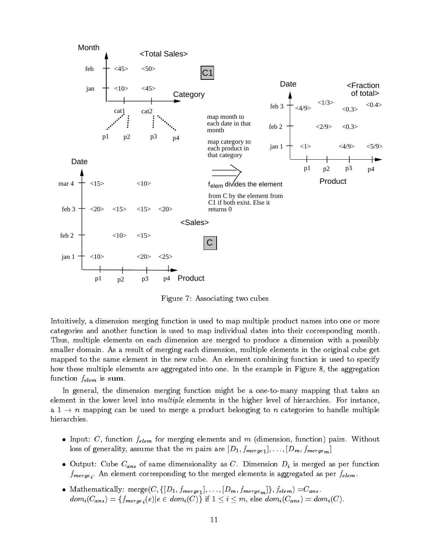

Figure 7: Associating two cubes

Intuitively, a dimension merging function is used to map multiple product names into one or more categories and another function is used to map individual dates into their corresponding month. Thus, multiple elements on each dimension are merged to produce a dimension with a possibly smaller domain. As a result of merging each dimension, multiple elements in the original cube get mapped to the same element in the new cube. An element combining function is used to specify how these multiple elements are aggregated into one. In the example in Figure 8, the aggregation  $f(x) = f(x)$ 

In general, the dimension merging function might be a one-to-many mapping that takes an element in the lower level into *multiple* elements in the higher level of hierarchies. For instance, a  $1 \to n$  mapping can be used to merge a product belonging to n categories to handle multiple hierarchies.

- $\bullet$  Input:  $C,$  function  $f_{elem}$  for merging elements and  $m$  (dimension, function) pairs. Without loss of generality, assume that the m pairs are  $[0, 1]$  fmerge1);  $\ldots$  i.  $[0, m]$  were defined
- $\bullet$  Output: Cube  $C_{ans}$  of same dimensionality as  $C.$  Dimension  $D_i$  is merged as per function fmerge i. and corresponding to the merged element  $\Theta$  and the merged elements is a  $\Theta$   $\Theta$  .  $\Theta$  is a per felement of the felement
- $\bullet$  Mathematically: merge $(C, \{[D_1, f_{merge_1}], \ldots, [D_m, f_{merge_m}]\}, f_{elem}) = \hspace{-0.5mm}C_{ans}$  .  $dom_i(C_{ans}) = \{f_{merge_i}(e) | e \in dom_i(C)\}$  if  $1 \leq i \leq m,$  else  $dom_i(C_{ans}) = dom_i(C).$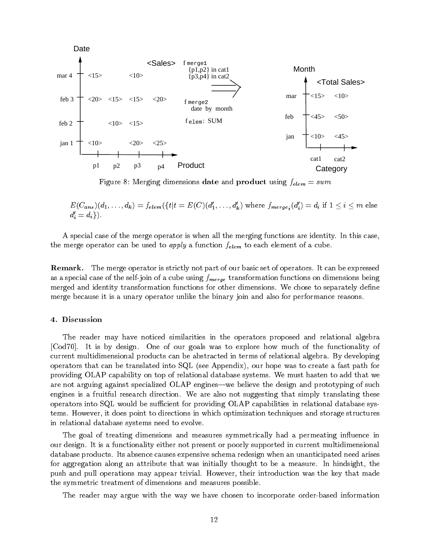

Figure 8: Merging dimensions date and product using felem <sup>=</sup> sum

 $E(C_{ans})(d_1,\ldots,d_k)=f_{elem}(\{t|t=E(C)(d_1',\ldots,d_k')\text{ where }f_{merge_i}(d_i')=d_i\text{ if }1\leq i\leq m\text{ else }l_i\leq m\text{ if }i\leq n\leq n\text{ else }l_i\leq m\text{ else }l_i\leq m\text{ else }l_i\leq m\text{ else }l_i\leq m\text{ else }l_i\leq m\text{ else }l_i\leq m\text{ else }l_i\leq m\text{ else }l_i\leq m\text{ else }l_i\leq m\text{ else }l_i\leq m\text{ else }l_i\leq m\text{ else }l_i\$  $d_i' = d_i$ .  $\cdot$ 

A special case of the merge operator is when all the merging functions are identity. In this case, the merger operator can be used to apply a function feature felement of a function feature of a cube. The cube

Remark. The merge operator is strictly not part of our basic set of operators. It can be expressed as a special case of the self-joint of a cube using fmerge transformation functions on dimensions on dimension merged and identity transformation functions for other dimensions. We chose to separately define merge because it is a unary operator unlike the binary join and also for performance reasons.

#### 4. Discussion

The reader may have noticed similarities in the operators proposed and relational algebra [Cod70]. It is by design. One of our goals was to explore how much of the functionality of current multidimensional products can be abstracted in terms of relational algebra. By developing operators that can be translated into SQL (see Appendix), our hope was to create a fast path for providing OLAP capability on top of relational database systems. We must hasten to add that we are not arguing against specialized OLAP engines—we believe the design and prototyping of such engines is a fruitful research direction. We are also not suggesting that simply translating these operators into  $SQL$  would be sufficient for providing  $OLAP$  capabilities in relational database systems. However, it does point to directions in which optimization techniques and storage structures in relational database systems need to evolve.

The goal of treating dimensions and measures symmetrically had a permeating in
uence in our design. It is a functionality either not present or poorly supported in current multidimensional database products. Its absence causes expensive schema redesign when an unanticipated need arises for aggregation along an attribute that was initially thought to be a measure. In hindsight, the push and pull operations may appear trivial. However, their introduction was the key that made the symmetric treatment of dimensions and measures possible.

The reader may argue with the way we have chosen to incorporate order-based information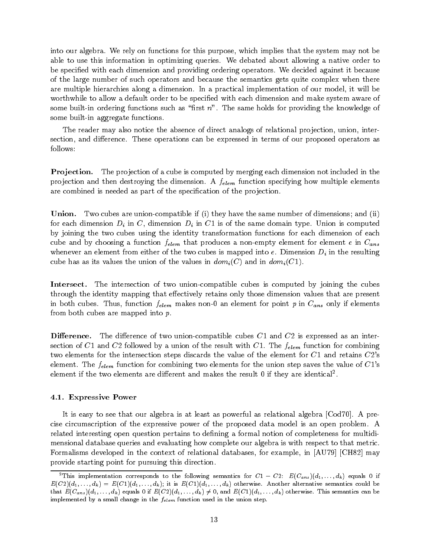into our algebra. We rely on functions for this purpose, which implies that the system may not be able to use this information in optimizing queries. We debated about allowing a native order to be specified with each dimension and providing ordering operators. We decided against it because of the large number of such operators and because the semantics gets quite complex when there are multiple hierarchies along a dimension. In a practical implementation of our model, it will be worthwhile to allow a default order to be specied with each dimension and make system aware of some built-in ordering functions such as "first  $n$ ". The same holds for providing the knowledge of some built-in aggregate functions.

The reader may also notice the absence of direct analogs of relational projection, union, intersection, and difference. These operations can be expressed in terms of our proposed operators as follows:

**Projection.** The projection of a cube is computed by merging each dimension not included in the produces and the destroying the dimension. A felement specific the dimension. A felement specific elements of  $\mu$ are combined is needed as part of the specification of the projection.

Union. Two cubes are union-compatible if (i) they have the same number of dimensions; and (ii) for each dimension Dimension Dimension Dimension Dimension Dimension  $U$ by joining the two cubes using the identity transformation functions for each dimension of each cube and by choosing a function felem that produces a non-empty element for element for Cans whenever an element from either of the two cubes is mapped into e. Dimension Dimension Dimension Dimension Dimension Dimension Dimension Dimension Dimension Dimension Dimension Dimension Dimension Dimension Dimension Dime cube has as its values the union of the values in  $dom_i(C)$  and in  $dom_i(C1)$ .

Intersect. The intersection of two union-compatible cubes is computed by joining the cubes through the identity mapping that effectively retains only those dimension values that are present in both cubes. Thus, function features non-distance non-distance in the point p in  $\mathcal{F}_1$  is element on  $\mathcal{F}_2$  in  $\mathcal{F}_3$  if elements on  $\mathcal{F}_4$  if elements on  $\mathcal{F}_5$  is elements on  $\mathcal{F}_6$  if elements on from both cubes are mapped into  $p$ .

**Difference.** The difference of two union-compatible cubes  $C1$  and  $C2$  is expressed as an intersection of C1 and C2 followed by a union of the result with C1. The felem function for combining two elements for the intersection steps discards the value of the element for  $C1$  and retains  $C2$ 's element. The  $f_{elem}$  function for combining two elements for the union step saves the value of  $C1$ 's element if the two elements are different and makes the result 0 if they are identical".

## 4.1. Expressive Power

It is easy to see that our algebra is at least as powerful as relational algebra [Cod70]. A precise circumscription of the expressive power of the proposed data model is an open problem. A related interesting open question pertains to defining a formal notion of completeness for multidimensional database queries and evaluating how complete our algebra is with respect to that metric. Formalisms developed in the context of relational databases, for example, in [AU79] [CH82] may provide starting point for pursuing this direction.

<sup>&</sup>lt;sup>2</sup>This implementation corresponds to the following semantics for  $C1 - C2$ :  $E(C_{ans})\left(d_1, \ldots, d_k\right)$  equals 0 if  $E(C2)(d_1, \ldots, d_k) = E(C1)(d_1, \ldots, d_k)$ ; it is  $E(C1)(d_1, \ldots, d_k)$  otherwise. Another alternative semantics could be that  $E(C_{ans})(d_1,\ldots,d_k)$  equals 0 if  $E(C2)(d_1,\ldots,d_k) \neq 0$ , and  $E(C1)(d_1,\ldots,d_k)$  otherwise. This semantics can be implemented by a small change in the  $f_{elem}$  function used in the union step.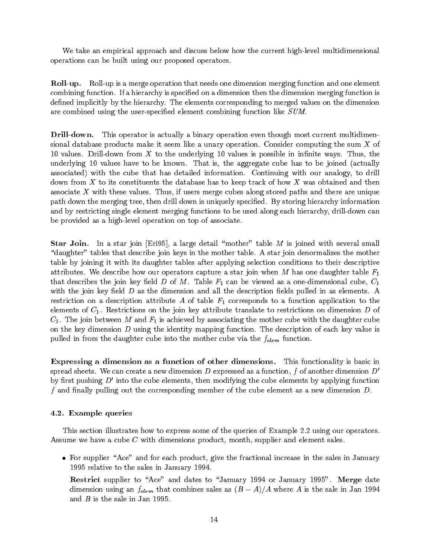We take an empirical approach and discuss below how the current high-level multidimensional operations can be built using our proposed operators.

Roll-up. Roll-up is a merge operation that needs one dimension merging function and one element combining function. If a hierarchy is specified on a dimension then the dimension merging function is defined implicitly by the hierarchy. The elements corresponding to merged values on the dimension are combined using the user-specified element combining function like SUM.

Drill-down. This operator is actually a binary operation even though most current multidimensional database products make it seem like a unary operation. Consider computing the sum  $X$  of 10 values. Drill-down from  $X$  to the underlying 10 values is possible in infinite ways. Thus, the underlying 10 values have to be known. That is, the aggregate cube has to be joined (actually associated) with the cube that has detailed information. Continuing with our analogy, to drill down from X to its constituents the database has to keep track of how X was obtained and then associate  $X$  with these values. Thus, if users merge cubes along stored paths and there are unique path down the merging tree, then drill down is uniquely specified. By storing hierarchy information and by restricting single element merging functions to be used along each hierarchy, drill-down can be provided as a high-level operation on top of associate.

Star Join. In a star join [Eri95], a large detail "mother" table  $M$  is joined with several small " daughter" tables that describe join keys in the mother table. A star join denormalizes the mother table by joining it with its daughter tables after applying selection conditions to their descriptive attributes. We describe how our operators capture a star join when M has one daughter table  $F_1$ that describes the join key field D of M. Table  $F_1$  can be viewed as a one-dimensional cube,  $C_1$ with the join key field  $D$  as the dimension and all the description fields pulled in as elements. A restriction on a description attribute A of table  $F_1$  corresponds to a function application to the elements of  $C_1$ . Restrictions on the join key attribute translate to restrictions on dimension D of  $C_1$ . The join between M and  $F_1$  is achieved by associating the mother cube with the daughter cube on the key dimension  $D$  using the identity mapping function. The description of each key value is pulled in from the daughter cube into the mother cube via the felem function.

Expressing a dimension as a function of other dimensions. This functionality is basic in spread sheets. We can create a new dimension D expressed as a function, f of another dimension  $D'$ by first pushing  $D'$  into the cube elements, then modifying the cube elements by applying function f and finally pulling out the corresponding member of the cube element as a new dimension  $D$ .

## 4.2. Example queries

This section illustrates how to express some of the queries of Example 2.2 using our operators. Assume we have a cube C with dimensions product, month, supplier and element sales.

- $\bullet$  -ror supplier "Ace" and for each product, give the fractional increase in the sales in January 1995 relative to the sales in January 1994.
	- Restrict supplier to "Ace" and dates to "January 1994 or January 1995". Merge date dimension using an  $f_{elem}$  that combines sales as  $(D - A)/A$  where A is the sale in Jan 1994 and  $B$  is the sale in Jan 1995.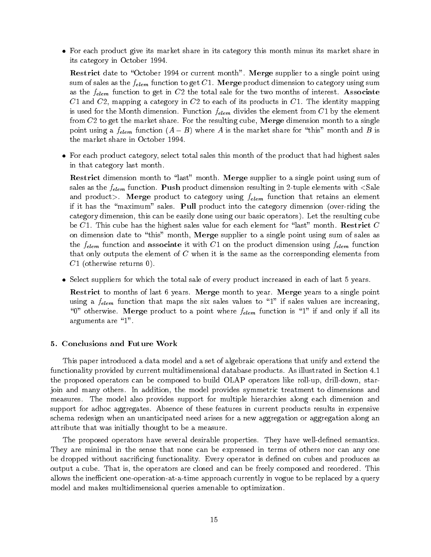$\bullet\,$  ror each product give its market share in its category this month minus its market share in  $\,$ its category in October 1994.

Restrict date to "October 1994 or current month". Merge supplier to a single point using sum of sales as the felem function to get C1. Merge product dimension to category using sum as the felem function to get in C2 the total sale for the the two months of interest. Associates of interest. C1 and C2, mapping a category in C2 to each of its products in C1. The identity mapping is used for the Month dimension. Function felement from the element from  $\mathbf{v} = \mathbf{v}_j$  the element from from  $C2$  to get the market share. For the resulting cube, Merge dimension month to a single point using a  $f_{elem}$  function ( $A = B$ ) where A is the market share for  $\theta$  ins month and B is the market share in October 1994.

 $\bullet$  -ror each product category, select total sales this month of the product that had highest sales in that category last month.

**Restrict** dimension month to "last" month. Merge supplier to a single point using sum of sales as the felem function. Pushed for any control resulting in 2-tuple elements with  $\sim$ and product to category using the category using felement function that retains an element  $\Omega$  and  $\Omega$  and  $\Omega$  and  $\Omega$  and  $\Omega$  and  $\Omega$  and  $\Omega$  and  $\Omega$  and  $\Omega$  and  $\Omega$  and  $\Omega$  and  $\Omega$  and  $\Omega$  and  $\Omega$  and  $\Omega$ if it has the "maximum" sales. Pull product into the category dimension (over-riding the category dimension, this can be easily done using our basic operators). Let the resulting cube be  $C1$ . This cube has the highest sales value for each element for "last" month. Restrict C on dimension date to "this" month, Merge supplier to a single point using sum of sales as the felem function and associate it with C1 on the product dimension using felem function using felem function  $\mathbf{f}_i$ that only outputs the element of  $C$  when it is the same as the corresponding elements from  $C1$  (otherwise returns 0).

 $\bullet$  Select suppliers for which the total sale of every product increased in each of last 5 years.

Restrict to months of last 6 years. Merge month to year. Merge years to a single point using a feelime that maps that maps that maps that maps to all sales values values are increasing, i  $\overline{\phantom{a}}$  otherwise. Mergerise. Mergerise. Mergerise. Mergerise. Mergerise. If and only if and only if and only if and only if and only if and only if and only if and only if and only if and only if and only if and only arguments are "1".

## 5. Conclusions and Future Work

This paper introduced a data model and a set of algebraic operations that unify and extend the functionality provided by current multidimensional database products. As illustrated in Section 4.1 the proposed operators can be composed to build OLAP operators like roll-up, drill-down, starjoin and many others. In addition, the model provides symmetric treatment to dimensions and measures. The model also provides support for multiple hierarchies along each dimension and support for adhoc aggregates. Absence of these features in current products results in expensive schema redesign when an unanticipated need arises for a new aggregation or aggregation along an attribute that was initially thought to be a measure.

The proposed operators have several desirable properties. They have well-defined semantics. They are minimal in the sense that none can be expressed in terms of others nor can any one be dropped without sacrificing functionality. Every operator is defined on cubes and produces as output a cube. That is, the operators are closed and can be freely composed and reordered. This allows the inefficient one-operation-at-a-time approach currently in vogue to be replaced by a query model and makes multidimensional queries amenable to optimization.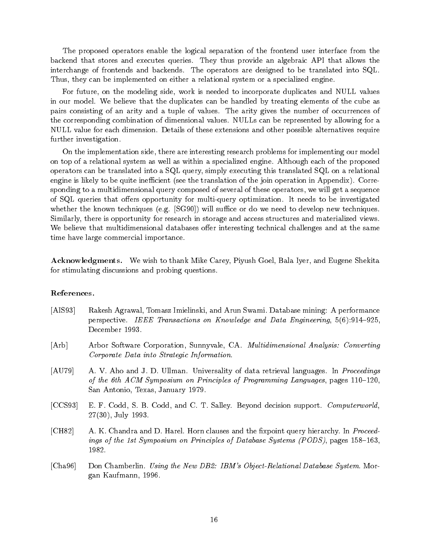The proposed operators enable the logical separation of the frontend user interface from the backend that stores and executes queries. They thus provide an algebraic API that allows the interchange of frontends and backends. The operators are designed to be translated into SQL. Thus, they can be implemented on either a relational system or a specialized engine.

For future, on the modeling side, work is needed to incorporate duplicates and NULL values in our model. We believe that the duplicates can be handled by treating elements of the cube as pairs consisting of an arity and a tuple of values. The arity gives the number of occurrences of the corresponding combination of dimensional values. NULLs can be represented by allowing for a NULL value for each dimension. Details of these extensions and other possible alternatives require further investigation.

On the implementation side, there are interesting research problems for implementing our model on top of a relational system as well as within a specialized engine. Although each of the proposed operators can be translated into a SQL query, simply executing this translated SQL on a relational engine is likely to be quite inefficient (see the translation of the join operation in Appendix). Corresponding to a multidimensional query composed of several of these operators, we will get a sequence of SQL queries that offers opportunity for multi-query optimization. It needs to be investigated whether the known techniques (e.g.  $[SG90]$ ) will suffice or do we need to develop new techniques. Similarly, there is opportunity for research in storage and access structures and materialized views. We believe that multidimensional databases offer interesting technical challenges and at the same time have large commercial importance.

Acknowledgments. We wish to thank Mike Carey, Piyush Goel, Bala Iyer, and Eugene Shekita for stimulating discussions and probing questions.

## References.

- [AIS93] Rakesh Agrawal, Tomasz Imielinski, and Arun Swami. Database mining: A performance perspective. IEEE Transactions on Knowledge and Data Engineering,  $5(6):914-925$ , December 1993.
- [Arb] Arbor Software Corporation, Sunnyvale, CA. Multidimensional Analysis: Converting Corporate Data into Strategic Information.
- [AU79] A. V. Aho and J. D. Ullman. Universality of data retrieval languages. In *Proceedings* of the 6th  $ACM$  Symposium on Principles of Programming Languages, pages  $110{-}120$ , San Antonio, Texas, January 1979.
- [CCS93] E. F. Codd, S. B. Codd, and C. T. Salley. Beyond decision support. *Computerworld*, 27(30), July 1993.
- [CH82] A. K. Chandra and D. Harel. Horn clauses and the fixpoint query hierarchy. In Proceedings of the 1st Symposium on Principles of Database Systems (PODS), pages  $158{-}163$ , 1982.
- [Cha96] Don Chamberlin. Using the New DB2: IBM's Object-Relational Database System. Morgan Kaufmann, 1996.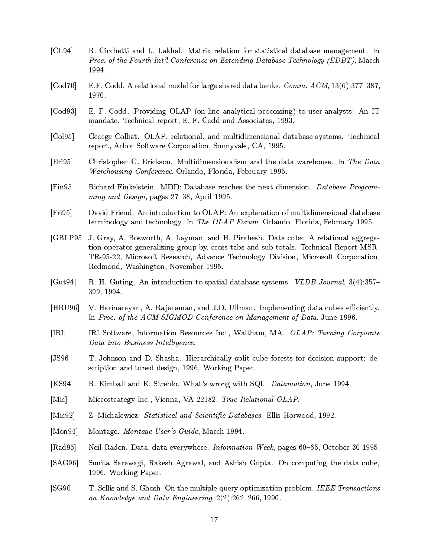- [CL94] R. Cicchetti and L. Lakhal. Matrix relation for statistical database management. In Proc. of the Fourth Int'l Conference on Extending Database Technology (EDBT), March 1994.
- [Cod70] E.F. Codd. A relational model for large shared data banks. *Comm.*  $ACM$ ,  $13(6):377-387$ , 1970.
- [Cod93] E. F. Codd. Providing OLAP (on-line analytical processing) to user-analysts: An IT mandate. Technical report, E. F. Codd and Associates, 1993.
- [Col95] George Colliat. OLAP, relational, and multidimensional database systems. Technical report, Arbor Software Corporation, Sunnyvale, CA, 1995.
- [Eri95] Christopher G. Erickson. Multidimensionalism and the data warehouse. In The Data Warehousing Conference, Orlando, Florida, February 1995.
- [Fin95] Richard Finkelstein. MDD: Database reaches the next dimension. Database Programming and Design, pages 27-38, April 1995.
- [Fri95] David Friend. An introduction to OLAP: An explanation of multidimensional database terminology and technology. In The OLAP Forum, Orlando, Florida, February 1995.
- [GBLP95] J. Gray, A. Bosworth, A. Layman, and H. Pirahesh. Data cube: A relational aggregation operator generalizing group-by, cross-tabs and sub-totals. Technical Report MSR-TR-95-22, Microsoft Research, Advance Technology Division, Microsoft Corporation, Redmond, Washington, November 1995.
- [Gut94] R. H. Guting. An introduction to spatial database systems. *VLDB Journal*, 3(4):357– 399, 1994.
- [HRU96] V. Harinarayan, A. Rajaraman, and J.D. Ullman. Implementing data cubes efficiently. In Proc. of the ACM SIGMOD Conference on Management of Data, June 1996.
- [IRI] IRI Software, Information Resources Inc., Waltham, MA. OLAP: Turning Corporate Data into Business Intelligence.
- [JS96] T. Johnson and D. Shasha. Hierarchically split cube forests for decision support: description and tuned design, 1996. Working Paper.
- [KS94] R. Kimball and K. Strehlo. What's wrong with SQL. Datamation, June 1994.
- [Mic] Microstrategy Inc., Vienna, VA 22182. True Relational OLAP.
- [Mic92] Z. Michalewicz. Statistical and Scientific Databases. Ellis Horwood, 1992.
- [Mon94] Montage. Montage User's Guide, March 1994.
- $[Rad95]$  Neil Raden. Data, data everywhere. *Information Week*, pages  $60-65$ , October 30 1995.
- [SAG96] Sunita Sarawagi, Rakesh Agrawal, and Ashish Gupta. On computing the data cube, 1996. Working Paper.
- [SG90] T. Sellis and S. Ghosh. On the multiple-query optimization problem. IEEE Transactions on Knowledge and Data Engineering,  $2(2):262{-}266$ , 1990.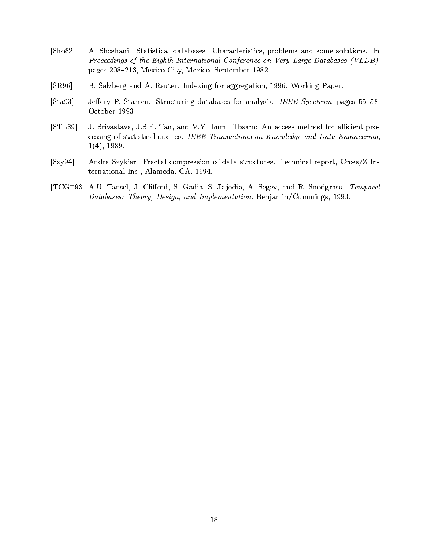- [Sho82] A. Shoshani. Statistical databases: Characteristics, problems and some solutions. In Proceedings of the Eighth International Conference on Very Large Databases (VLDB), pages 208-213, Mexico City, Mexico, September 1982.
- [SR96] B. Salzberg and A. Reuter. Indexing for aggregation, 1996. Working Paper.
- [Sta93] Jeffery P. Stamen. Structuring databases for analysis. IEEE Spectrum, pages 55–58, October 1993.
- [STL89] J. Srivastava, J.S.E. Tan, and V.Y. Lum. Tbsam: An access method for efficient processing of statistical queries. IEEE Transactions on Know ledge and Data Engineering, 1(4), 1989.
- [Szy94] Andre Szykier. Fractal compression of data structures. Technical report, Cross/Z International Inc., Alameda, CA, 1994.
- $[1 \cup G/93]$  A.U. Tansel, J. Chilord, S. Gadia, S. Jajodia, A. Segev, and R. Snodgrass. Temporal Databases: Theory, Design, and Implementation. Benjamin/Cummings, 1993.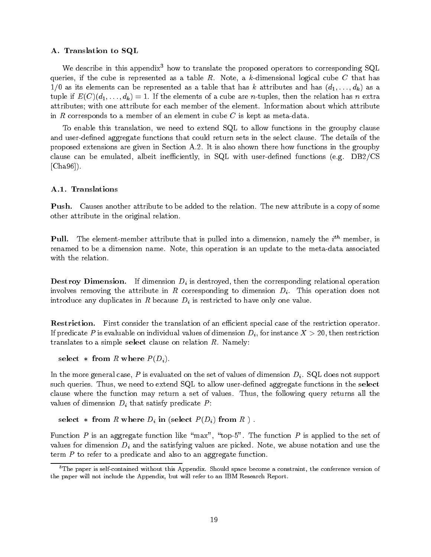## A. Translation to SQL

We describe in this appendix<sup>3</sup> how to translate the proposed operators to corresponding SQL queries, if the cube is represented as a table  $R$ . Note, a k-dimensional logical cube C that has  $1/0$  as its elements can be represented as a table that has k attributes and has  $(d_1, \ldots, d_k)$  as a tuple if  $E(C)(d_1, \ldots, d_k) = 1$ . If the elements of a cube are *n*-tuples, then the relation has *n* extra attributes; with one attribute for each member of the element. Information about which attribute in R corresponds to a member of an element in cube C is kept as meta-data.

To enable this translation, we need to extend SQL to allow functions in the groupby clause and user-defined aggregate functions that could return sets in the select clause. The details of the proposed extensions are given in Section A.2. It is also shown there how functions in the groupby clause can be emulated, albeit inefficiently, in SQL with user-defined functions (e.g.  $DB2/CS$ [Cha96]).

# A.1. Translations

Push. Causes another attribute to be added to the relation. The new attribute is a copy of some other attribute in the original relation.

**Pull.** The element-member attribute that is pulled into a dimension, namely the  $i^{\prime\prime}$  member, is renamed to be a dimension name. Note, this operation is an update to the meta-data associated with the relation.

 $\mathcal{C}$  dimension. If dimension Dimensional Dimension Dimension Dimension Dimension Dimension Dimension Dimension Dimension Dimensional operation Dimension Dimension Dimension Dimension Dimension Dimension Dimension Dime involves removing the attribute in R corresponding to dimension  $D_i$ . This operation does not introduce any duplicates in R because Di is restricted to have only one value.

**Restriction.** First consider the translation of an efficient special case of the restriction operator. If predicate P is evaluable on individual values of dimension  $D_i$ , for instance  $X > 20$ , then restriction translates to a simple select clause on relation  $R$ . Namely:

select  $*$  from R where  $P(D_i)$ .

In the more general case, P is evaluated on the set of values of dimension  $D_i$ . SQL does not support such queries. Thus, we need to extend SQL to allow user-defined aggregate functions in the select clause where the function may return a set of values. Thus, the following query returns all the values of dimensions  $\rho$  , dimensions  $\rho$  predicates P :

```
select * from R where D_i in (select P(D_i) from R ) .
```
Function P is an aggregate function like "max", "top-5". The function P is applied to the set of values for dimension Di and the satisfying values are picked. Note, we abuse the called use the use the the s term  $P$  to refer to a predicate and also to an aggregate function.

<sup>&</sup>lt;sup>3</sup>The paper is self-contained without this Appendix. Should space become a constraint, the conference version of the paper will not include the Appendix, but will refer to an IBM Research Report.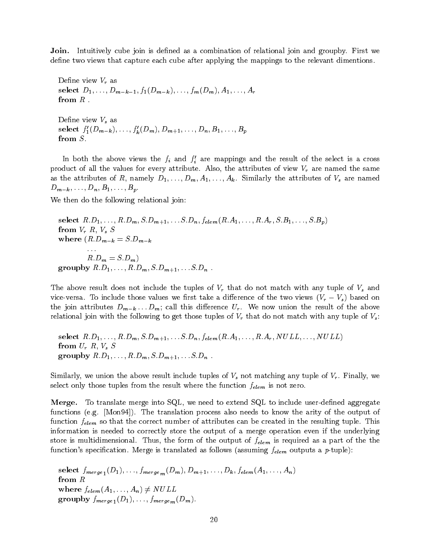**Join.** Intuitively cube join is defined as a combination of relational join and groupby. First we define two views that capture each cube after applying the mappings to the relevant dimentions.

Define view  $V_r$  as  $s = -1$ ;  $s = 1$ ;  $s = m - 1$ ;  $s = m - m$ ;  $s = 1$ ;  $s = 1$ ;  $s = -1$ from R .

e verseer view van de verseer van de verseer van de verseer van de verseer van de verseer van de verseer van d select  $f_1(D_{m-k}), \ldots, f_k(D_m), D_{m+1}, \ldots, D_n, D_1, \ldots, D_p$ from S.

In both the above views the  $f_i$  and  $f_i$  are mappings and the result of the select is a cross product of all the values for every attribute. Also, the attributes of view Vr are named the same as the attributes of R, namely  $D_1, \ldots, D_m, A_1, \ldots, A_k$ . Similarly the attributes of  $V_s$  are named  $D_{m-k},\ldots,D_n,B_1,\ldots,B_p.$ 

We then do the following relational join:

select  $R.D_1, \ldots, R.D_m, S.D_{m+1}, \ldots S.D_n, f_{elem}(R.A_1, \ldots, R.A_r, S.B_1, \ldots, S.B_p)$ from  $\mathbf{v} = \mathbf{v}$  ,  $\mathbf{v} = \mathbf{v}$  such that  $\mathbf{v} = \mathbf{v}$ where  $(R.D_{m-k} = S.D_{m-k}$ R:Dm <sup>=</sup> S:Dm) groupby  $R.D_1, \ldots, R.D_m, S.D_{m+1}, \ldots, S.D_n$ .

The above result does not include the tuples of Vr that do not match with any tuple of Vs and vice-versa. To include those values we have a dierence of the two views  $(\gamma_r - \gamma_s)$  based on the join attributes  $D_{m-k} \ldots D_m$ ; call this difference  $U_r$ . We now union the result of the above relational join with the following to get those tuples of Vr that do not match with any tuple of Vs:

select  $R.D_1, \ldots, R.D_m, S.D_{m+1}, \ldots S.D_n, f_{elem}(R.A_1, \ldots, R.A_r, NULL, \ldots, NULL)$ from Ur R, Vs <sup>S</sup> groupby  $R.D_1, ..., R.D_m, S.D_{m+1}, ... S.D_n$ .

Similarly, we union the above result include tuples of Vis not matching any tuple of Vis not matching any tupl select only those tuples from the result where the function feed  $\mu$  condition for zero.

**Merge.** To translate merge into  $SQL$ , we need to extend  $SQL$  to include user-defined aggregate functions (e.g. [Mon94]). The translation process also needs to know the arity of the output of function features correct number of attributes can be correct number of attributes can be correct number of attributes can be correct in the resulting tuple. This is a correct number of attributes can be considered in the information is needed to correctly store the output of a merge operation even if the underlying store is multidimensional. Thus, the form of the output of felem is required as a part of the the function's specification. Merge is translated as follows (assuming  $f_{elem}$  outputs a p-tuple):

 $S$  incryc  $\lfloor (1/2) \rfloor$  is incrycled to  $\lfloor (m+1) \rfloor$  in  $\lfloor (m+1) \rfloor$  in  $\lfloor (m+1) \rfloor$  in  $\lfloor (m+1) \rfloor$ from R where  $f_{elem}(A_1, ..., A_n) \neq NULL$  $\mathbf{G}$  - - -  $\mathbf{F}$  :  $\mathcal{G}$  is finitely given by  $\mathcal{G}$  in  $\mathcal{G}$  is finite. The property in  $\mathcal{G}$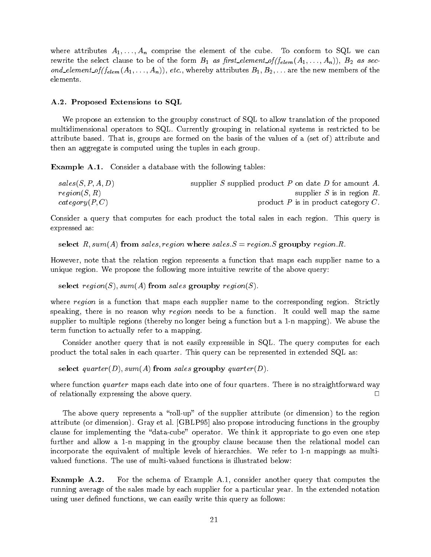where attributes  $A_1, \ldots, A_n$  comprise the element of the cube. To conform to SQL we can rewrite the select clause to be of the form  $B_1$  as first\_element\_of( $f_{elem}(A_1, \ldots, A_n)$ ),  $B_2$  as second\_element\_of( $f_{elem}(A_1, ..., A_n)$ ), etc., whereby attributes  $B_1, B_2, ...$  are the new members of the elements.

#### A.2. Proposed Extensions to SQL

We propose an extension to the groupby construct of SQL to allow translation of the proposed multidimensional operators to SQL. Currently grouping in relational systems is restricted to be attribute based. That is, groups are formed on the basis of the values of a (set of) attribute and then an aggregate is computed using the tuples in each group.

**Example A.1.** Consider a database with the following tables:

| sales(S, P, A, D) | supplier S supplied product P on date D for amount A. |
|-------------------|-------------------------------------------------------|
| region(S, R)      | supplier S is in region R.                            |
| category(P,C)     | product $P$ is in product category $C$ .              |

Consider a query that computes for each product the total sales in each region. This query is expressed as:

select R, sum(A) from sales, region where sales.  $S = region.S$  groupby region. R.

However, note that the relation region represents a function that maps each supplier name to a unique region. We propose the following more intuitive rewrite of the above query:

select region(S), sum(A) from sales groupby region(S).

where region is a function that maps each supplier name to the corresponding region. Strictly speaking, there is no reason why region needs to be a function. It could well map the same supplier to multiple regions (thereby no longer being a function but a 1-n mapping). We abuse the term function to actually refer to a mapping.

Consider another query that is not easily expressible in SQL. The query computes for each product the total sales in each quarter. This query can be represented in extended SQL as:

select quarter(D), sum(A) from sales groupby quarter(D).

where function *quarter* maps each date into one of four quarters. There is no straightforward way of relationally expressing the above query.  $\Box$ 

The above query represents a "roll-up" of the supplier attribute (or dimension) to the region attribute (or dimension). Gray et al. [GBLP95] also propose introducing functions in the groupby clause for implementing the "data-cube" operator. We think it appropriate to go even one step further and allow a 1-n mapping in the groupby clause because then the relational model can incorporate the equivalent of multiple levels of hierarchies. We refer to 1-n mappings as multivalued functions. The use of multi-valued functions is illustrated below:

Example A.2. For the schema of Example A.1, consider another query that computes the running average of the sales made by each supplier for a particular year. In the extended notation using user defined functions, we can easily write this query as follows: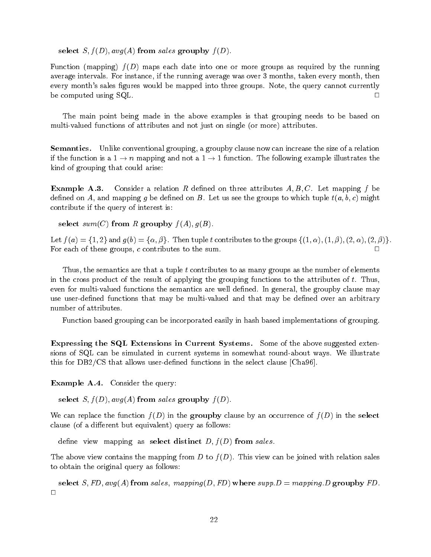select  $S, f(D), avg(A)$  from sales groupby  $f(D)$ .

Function (mapping)  $f(D)$  maps each date into one or more groups as required by the running average intervals. For instance, if the running average was over 3 months, taken every month, then every month's sales figures would be mapped into three groups. Note, the query cannot currently be computed using SQL.  $\Box$ 

The main point being made in the above examples is that grouping needs to be based on multi-valued functions of attributes and not just on single (or more) attributes.

Semantics. Unlike conventional grouping, a groupby clause now can increase the size of a relation if the function is a  $1 \to n$  mapping and not a  $1 \to 1$  function. The following example illustrates the kind of grouping that could arise:

**Example A.3.** Consider a relation R defined on three attributes  $A, B, C$ . Let mapping f be defined on A, and mapping q be defined on B. Let us see the groups to which tuple  $t(a, b, c)$  might contribute if the query of interest is:

select  $sum(C)$  from R groupby  $f(A), g(B)$ .

Let  $f(a) = \{1,2\}$  and  $g(b) = \{\alpha, \beta\}$ . Then tuple t contributes to the groups  $\{(1, \alpha), (1, \beta), (2, \alpha), (2, \beta)\}.$ For each of these groups,  $c$  contributes to the sum.

Thus, the semantics are that a tuple  $t$  contributes to as many groups as the number of elements in the cross product of the result of applying the grouping functions to the attributes of  $t$ . Thus, even for multi-valued functions the semantics are well defined. In general, the groupby clause may use user-defined functions that may be multi-valued and that may be defined over an arbitrary number of attributes.

Function based grouping can be incorporated easily in hash based implementations of grouping.

Expressing the SQL Extensions in Current Systems. Some of the above suggested extensions of SQL can be simulated in current systems in somewhat round-about ways. We illustrate this for  $DB2/CS$  that allows user-defined functions in the select clause [Cha96].

Example A.4. Consider the query:

select S,  $f(D)$ ,  $avg(A)$  from sales groupby  $f(D)$ .

We can replace the function  $f(D)$  in the groupby clause by an occurrence of  $f(D)$  in the select clause (of a different but equivalent) query as follows:

define view mapping as select distinct  $D, f(D)$  from sales.

The above view contains the mapping from D to  $f(D)$ . This view can be joined with relation sales to obtain the original query as follows:

select S, FD,  $avg(A)$  from sales, mapping(D, FD) where supp.  $D = mapping.D$  groupby FD.  $\Box$